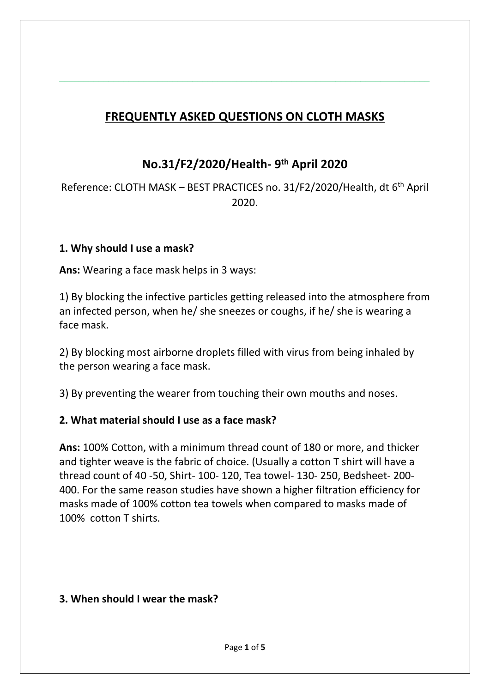# **FREQUENTLY ASKED QUESTIONS ON CLOTH MASKS**

 $\_$  , and the set of the set of the set of the set of the set of the set of the set of the set of the set of the set of the set of the set of the set of the set of the set of the set of the set of the set of the set of th

# **No.31/F2/2020/Health- 9 th April 2020**

Reference: CLOTH MASK – BEST PRACTICES no. 31/F2/2020/Health, dt 6<sup>th</sup> April 2020.

#### **1. Why should I use a mask?**

**Ans:** Wearing a face mask helps in 3 ways:

1) By blocking the infective particles getting released into the atmosphere from an infected person, when he/ she sneezes or coughs, if he/ she is wearing a face mask.

2) By blocking most airborne droplets filled with virus from being inhaled by the person wearing a face mask.

3) By preventing the wearer from touching their own mouths and noses.

# **2. What material should I use as a face mask?**

**Ans:** 100% Cotton, with a minimum thread count of 180 or more, and thicker and tighter weave is the fabric of choice. (Usually a cotton T shirt will have a thread count of 40 -50, Shirt- 100- 120, Tea towel- 130- 250, Bedsheet- 200- 400. For the same reason studies have shown a higher filtration efficiency for masks made of 100% cotton tea towels when compared to masks made of 100% cotton T shirts.

#### **3. When should I wear the mask?**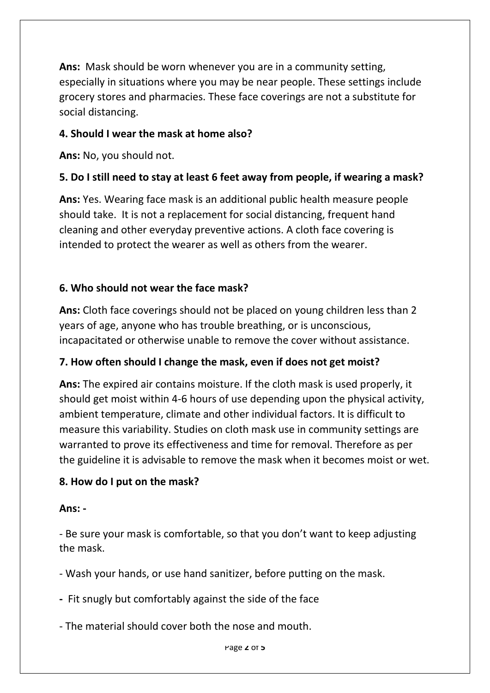**Ans:** Mask should be worn whenever you are in a community setting, especially in situations where you may be near people. These settings include grocery stores and pharmacies. These face coverings are not a substitute for social distancing.

#### **4. Should I wear the mask at home also?**

**Ans:** No, you should not.

# **5. Do I still need to stay at least 6 feet away from people, if wearing a mask?**

**Ans:** Yes. Wearing face mask is an additional public health measure people should take. It is not a replacement for social distancing, frequent hand cleaning and other everyday preventive actions. A cloth face covering is intended to protect the wearer as well as others from the wearer.

# **6. Who should not wear the face mask?**

**Ans:** Cloth face coverings should not be placed on young children less than 2 years of age, anyone who has trouble breathing, or is unconscious, incapacitated or otherwise unable to remove the cover without assistance.

# **7. How often should I change the mask, even if does not get moist?**

**Ans:** The expired air contains moisture. If the cloth mask is used properly, it should get moist within 4-6 hours of use depending upon the physical activity, ambient temperature, climate and other individual factors. It is difficult to measure this variability. Studies on cloth mask use in community settings are warranted to prove its effectiveness and time for removal. Therefore as per the guideline it is advisable to remove the mask when it becomes moist or wet.

# **8. How do I put on the mask?**

#### **Ans: -**

- Be sure your mask is comfortable, so that you don't want to keep adjusting the mask.

- Wash your hands, or use hand sanitizer, before putting on the mask.

**-** Fit snugly but comfortably against the side of the face

- The material should cover both the nose and mouth.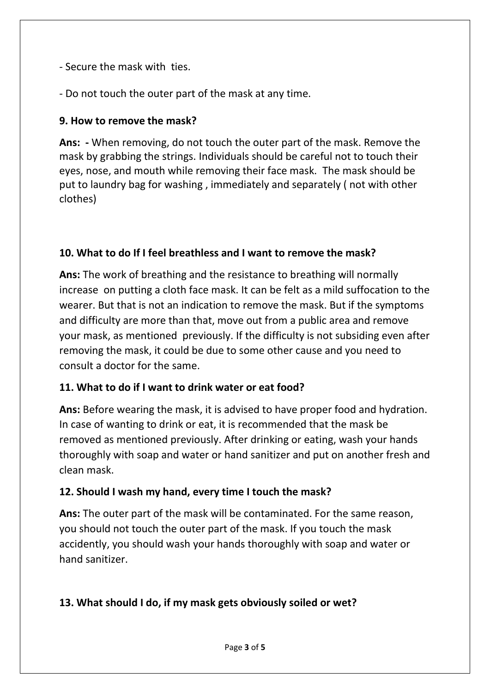- Secure the mask with ties.
- Do not touch the outer part of the mask at any time.

### **9. How to remove the mask?**

**Ans: -** When removing, do not touch the outer part of the mask. Remove the mask by grabbing the strings. Individuals should be careful not to touch their eyes, nose, and mouth while removing their face mask. The mask should be put to laundry bag for washing , immediately and separately ( not with other clothes)

#### **10. What to do If I feel breathless and I want to remove the mask?**

**Ans:** The work of breathing and the resistance to breathing will normally increase on putting a cloth face mask. It can be felt as a mild suffocation to the wearer. But that is not an indication to remove the mask. But if the symptoms and difficulty are more than that, move out from a public area and remove your mask, as mentioned previously. If the difficulty is not subsiding even after removing the mask, it could be due to some other cause and you need to consult a doctor for the same.

#### **11. What to do if I want to drink water or eat food?**

**Ans:** Before wearing the mask, it is advised to have proper food and hydration. In case of wanting to drink or eat, it is recommended that the mask be removed as mentioned previously. After drinking or eating, wash your hands thoroughly with soap and water or hand sanitizer and put on another fresh and clean mask.

#### **12. Should I wash my hand, every time I touch the mask?**

**Ans:** The outer part of the mask will be contaminated. For the same reason, you should not touch the outer part of the mask. If you touch the mask accidently, you should wash your hands thoroughly with soap and water or hand sanitizer.

# **13. What should I do, if my mask gets obviously soiled or wet?**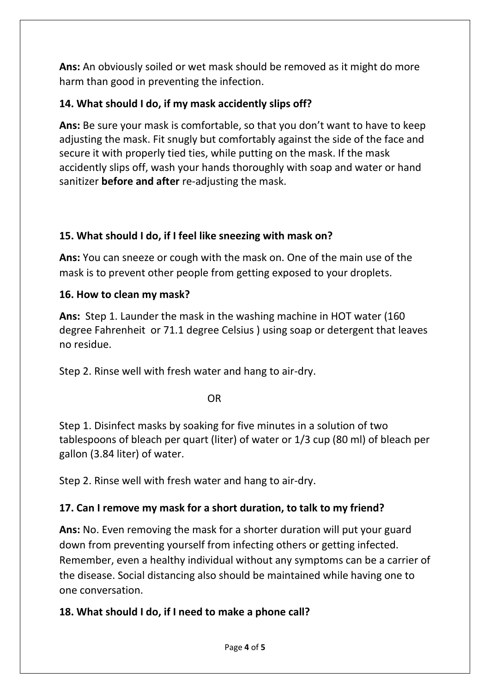**Ans:** An obviously soiled or wet mask should be removed as it might do more harm than good in preventing the infection.

# **14. What should I do, if my mask accidently slips off?**

**Ans:** Be sure your mask is comfortable, so that you don't want to have to keep adjusting the mask. Fit snugly but comfortably against the side of the face and secure it with properly tied ties, while putting on the mask. If the mask accidently slips off, wash your hands thoroughly with soap and water or hand sanitizer **before and after** re-adjusting the mask.

# **15. What should I do, if I feel like sneezing with mask on?**

**Ans:** You can sneeze or cough with the mask on. One of the main use of the mask is to prevent other people from getting exposed to your droplets.

#### **16. How to clean my mask?**

**Ans:** Step 1. Launder the mask in the washing machine in HOT water (160 degree Fahrenheit or 71.1 degree Celsius ) using soap or detergent that leaves no residue.

Step 2. Rinse well with fresh water and hang to air-dry.

OR

Step 1. Disinfect masks by soaking for five minutes in a solution of two tablespoons of bleach per quart (liter) of water or 1/3 cup (80 ml) of bleach per gallon (3.84 liter) of water.

Step 2. Rinse well with fresh water and hang to air-dry.

# **17. Can I remove my mask for a short duration, to talk to my friend?**

**Ans:** No. Even removing the mask for a shorter duration will put your guard down from preventing yourself from infecting others or getting infected. Remember, even a healthy individual without any symptoms can be a carrier of the disease. Social distancing also should be maintained while having one to one conversation.

# **18. What should I do, if I need to make a phone call?**